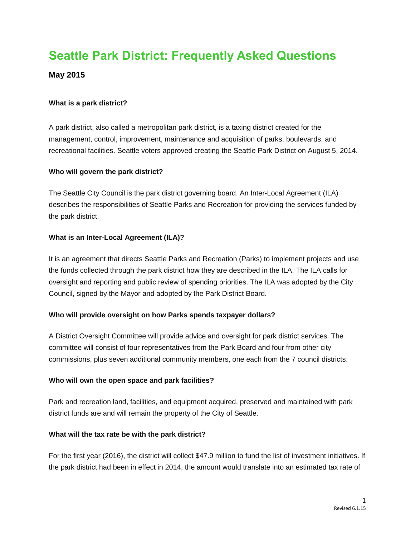# **Seattle Park District: Frequently Asked Questions**

# **May 2015**

#### **What is a park district?**

A park district, also called a metropolitan park district, is a taxing district created for the management, control, improvement, maintenance and acquisition of parks, boulevards, and recreational facilities. Seattle voters approved creating the Seattle Park District on August 5, 2014.

#### **Who will govern the park district?**

The Seattle City Council is the park district governing board. An Inter-Local Agreement (ILA) describes the responsibilities of Seattle Parks and Recreation for providing the services funded by the park district.

#### **What is an Inter-Local Agreement (ILA)?**

It is an agreement that directs Seattle Parks and Recreation (Parks) to implement projects and use the funds collected through the park district how they are described in the ILA. The ILA calls for oversight and reporting and public review of spending priorities. The ILA was adopted by the City Council, signed by the Mayor and adopted by the Park District Board.

### **Who will provide oversight on how Parks spends taxpayer dollars?**

A District Oversight Committee will provide advice and oversight for park district services. The committee will consist of four representatives from the Park Board and four from other city commissions, plus seven additional community members, one each from the 7 council districts.

#### **Who will own the open space and park facilities?**

Park and recreation land, facilities, and equipment acquired, preserved and maintained with park district funds are and will remain the property of the City of Seattle.

### **What will the tax rate be with the park district?**

For the first year (2016), the district will collect \$47.9 million to fund the list of investment initiatives. If the park district had been in effect in 2014, the amount would translate into an estimated tax rate of